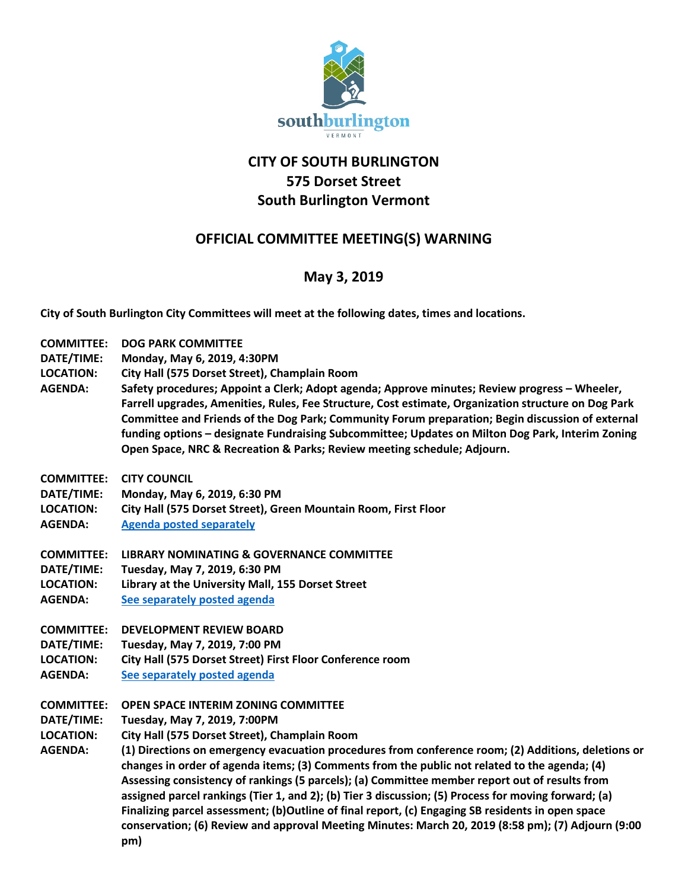

## **CITY OF SOUTH BURLINGTON 575 Dorset Street South Burlington Vermont**

## **OFFICIAL COMMITTEE MEETING(S) WARNING**

## **May 3, 2019**

**City of South Burlington City Committees will meet at the following dates, times and locations.** 

| City Hall (575 Dorset Street), Champlain Room<br>Safety procedures; Appoint a Clerk; Adopt agenda; Approve minutes; Review progress - Wheeler,<br>Farrell upgrades, Amenities, Rules, Fee Structure, Cost estimate, Organization structure on Dog Park<br>Committee and Friends of the Dog Park; Community Forum preparation; Begin discussion of external                                                                                                                                                                                                                                                                |
|---------------------------------------------------------------------------------------------------------------------------------------------------------------------------------------------------------------------------------------------------------------------------------------------------------------------------------------------------------------------------------------------------------------------------------------------------------------------------------------------------------------------------------------------------------------------------------------------------------------------------|
| funding options - designate Fundraising Subcommittee; Updates on Milton Dog Park, Interim Zoning                                                                                                                                                                                                                                                                                                                                                                                                                                                                                                                          |
|                                                                                                                                                                                                                                                                                                                                                                                                                                                                                                                                                                                                                           |
|                                                                                                                                                                                                                                                                                                                                                                                                                                                                                                                                                                                                                           |
|                                                                                                                                                                                                                                                                                                                                                                                                                                                                                                                                                                                                                           |
|                                                                                                                                                                                                                                                                                                                                                                                                                                                                                                                                                                                                                           |
|                                                                                                                                                                                                                                                                                                                                                                                                                                                                                                                                                                                                                           |
|                                                                                                                                                                                                                                                                                                                                                                                                                                                                                                                                                                                                                           |
|                                                                                                                                                                                                                                                                                                                                                                                                                                                                                                                                                                                                                           |
|                                                                                                                                                                                                                                                                                                                                                                                                                                                                                                                                                                                                                           |
|                                                                                                                                                                                                                                                                                                                                                                                                                                                                                                                                                                                                                           |
|                                                                                                                                                                                                                                                                                                                                                                                                                                                                                                                                                                                                                           |
|                                                                                                                                                                                                                                                                                                                                                                                                                                                                                                                                                                                                                           |
|                                                                                                                                                                                                                                                                                                                                                                                                                                                                                                                                                                                                                           |
|                                                                                                                                                                                                                                                                                                                                                                                                                                                                                                                                                                                                                           |
|                                                                                                                                                                                                                                                                                                                                                                                                                                                                                                                                                                                                                           |
|                                                                                                                                                                                                                                                                                                                                                                                                                                                                                                                                                                                                                           |
| (1) Directions on emergency evacuation procedures from conference room; (2) Additions, deletions or<br>changes in order of agenda items; (3) Comments from the public not related to the agenda; (4)<br>Assessing consistency of rankings (5 parcels); (a) Committee member report out of results from<br>assigned parcel rankings (Tier 1, and 2); (b) Tier 3 discussion; (5) Process for moving forward; (a)<br>Finalizing parcel assessment; (b)Outline of final report, (c) Engaging SB residents in open space<br>conservation; (6) Review and approval Meeting Minutes: March 20, 2019 (8:58 pm); (7) Adjourn (9:00 |
|                                                                                                                                                                                                                                                                                                                                                                                                                                                                                                                                                                                                                           |